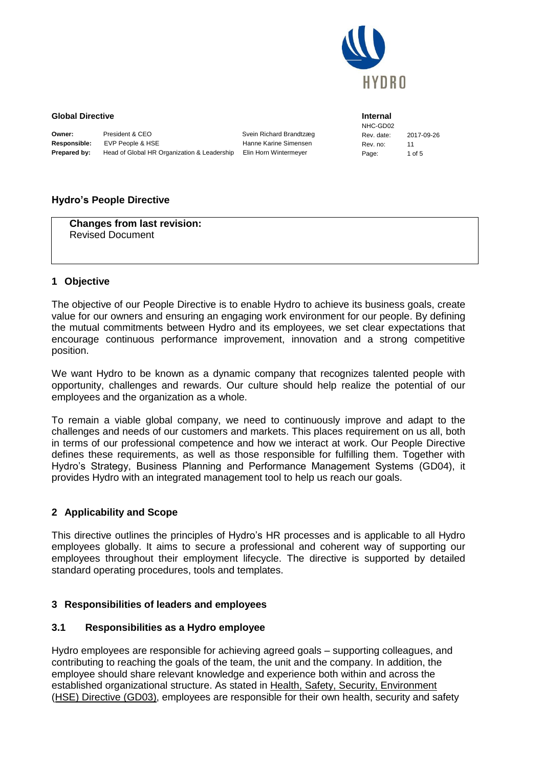

**Internal**

#### **Global Directive**

| Owner:              | President & CEO                             | Svein Richard Brandtzæg |
|---------------------|---------------------------------------------|-------------------------|
| <b>Responsible:</b> | EVP People & HSE                            | Hanne Karine Simensen   |
| <b>Prepared by:</b> | Head of Global HR Organization & Leadership | Elin Horn Wintermever   |

NHC-GD02 Rev. date: 2017-09-26 Rev. no: 11 Page: 1 of 5

### **Hydro's People Directive**

**Changes from last revision:** Revised Document

#### **1 Objective**

The objective of our People Directive is to enable Hydro to achieve its business goals, create value for our owners and ensuring an engaging work environment for our people. By defining the mutual commitments between Hydro and its employees, we set clear expectations that encourage continuous performance improvement, innovation and a strong competitive position.

We want Hydro to be known as a dynamic company that recognizes talented people with opportunity, challenges and rewards. Our culture should help realize the potential of our employees and the organization as a whole.

To remain a viable global company, we need to continuously improve and adapt to the challenges and needs of our customers and markets. This places requirement on us all, both in terms of our professional competence and how we interact at work. Our People Directive defines these requirements, as well as those responsible for fulfilling them. Together with Hydro's Strategy, Business Planning and Performance Management Systems (GD04), it provides Hydro with an integrated management tool to help us reach our goals.

# **2 Applicability and Scope**

This directive outlines the principles of Hydro's HR processes and is applicable to all Hydro employees globally. It aims to secure a professional and coherent way of supporting our employees throughout their employment lifecycle. The directive is supported by detailed standard operating procedures, tools and templates.

#### **3 Responsibilities of leaders and employees**

#### **3.1 Responsibilities as a Hydro employee**

Hydro employees are responsible for achieving agreed goals – supporting colleagues, and contributing to reaching the goals of the team, the unit and the company. In addition, the employee should share relevant knowledge and experience both within and across the established organizational structure. As stated in Health, Safety, Security, Environment (HSE) Directive (GD03), employees are responsible for their own health, security and safety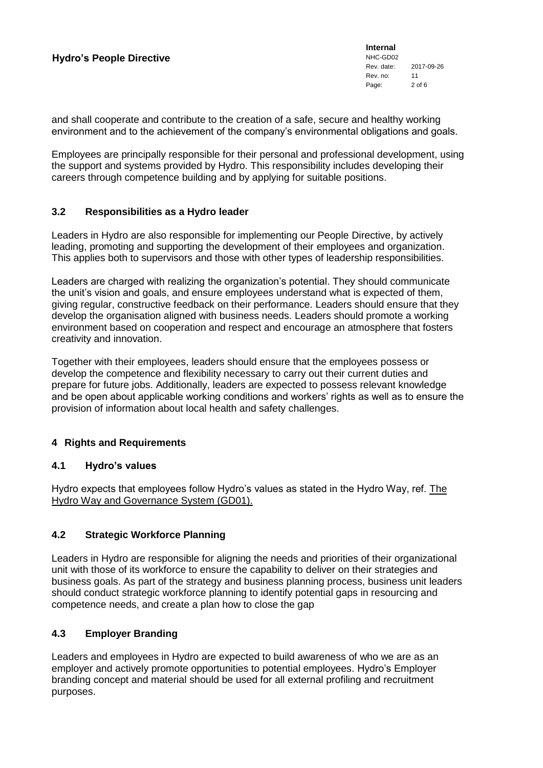**Internal** NHC-GD02 Rev. date: 2017-09-26 Rev. no: 11 Page: 2 of 6

and shall cooperate and contribute to the creation of a safe, secure and healthy working environment and to the achievement of the company's environmental obligations and goals.

Employees are principally responsible for their personal and professional development, using the support and systems provided by Hydro. This responsibility includes developing their careers through competence building and by applying for suitable positions.

#### **3.2 Responsibilities as a Hydro leader**

Leaders in Hydro are also responsible for implementing our People Directive, by actively leading, promoting and supporting the development of their employees and organization. This applies both to supervisors and those with other types of leadership responsibilities.

Leaders are charged with realizing the organization's potential. They should communicate the unit's vision and goals, and ensure employees understand what is expected of them, giving regular, constructive feedback on their performance. Leaders should ensure that they develop the organisation aligned with business needs. Leaders should promote a working environment based on cooperation and respect and encourage an atmosphere that fosters creativity and innovation.

Together with their employees, leaders should ensure that the employees possess or develop the competence and flexibility necessary to carry out their current duties and prepare for future jobs. Additionally, leaders are expected to possess relevant knowledge and be open about applicable working conditions and workers' rights as well as to ensure the provision of information about local health and safety challenges.

# **4 Rights and Requirements**

#### **4.1 Hydro's values**

Hydro expects that employees follow Hydro's values as stated in the Hydro Way, ref. The Hydro Way and Governance System (GD01).

# **4.2 Strategic Workforce Planning**

Leaders in Hydro are responsible for aligning the needs and priorities of their organizational unit with those of its workforce to ensure the capability to deliver on their strategies and business goals. As part of the strategy and business planning process, business unit leaders should conduct strategic workforce planning to identify potential gaps in resourcing and competence needs, and create a plan how to close the gap

### **4.3 Employer Branding**

Leaders and employees in Hydro are expected to build awareness of who we are as an employer and actively promote opportunities to potential employees. Hydro's Employer branding concept and material should be used for all external profiling and recruitment purposes.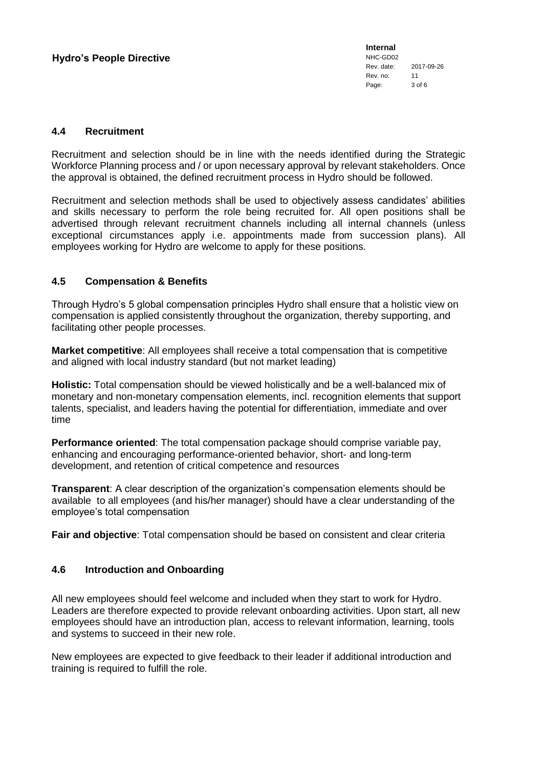**Internal** NHC-GD02 Rev. date: 2017-09-26 Rev. no: 11 Page: 3 of 6

#### **4.4 Recruitment**

Recruitment and selection should be in line with the needs identified during the Strategic Workforce Planning process and / or upon necessary approval by relevant stakeholders. Once the approval is obtained, the defined recruitment process in Hydro should be followed.

Recruitment and selection methods shall be used to objectively assess candidates' abilities and skills necessary to perform the role being recruited for. All open positions shall be advertised through relevant recruitment channels including all internal channels (unless exceptional circumstances apply i.e. appointments made from succession plans). All employees working for Hydro are welcome to apply for these positions.

### **4.5 Compensation & Benefits**

Through Hydro's 5 global compensation principles Hydro shall ensure that a holistic view on compensation is applied consistently throughout the organization, thereby supporting, and facilitating other people processes.

**Market competitive**: All employees shall receive a total compensation that is competitive and aligned with local industry standard (but not market leading)

**Holistic:** Total compensation should be viewed holistically and be a well-balanced mix of monetary and non-monetary compensation elements, incl. recognition elements that support talents, specialist, and leaders having the potential for differentiation, immediate and over time

**Performance oriented**: The total compensation package should comprise variable pay, enhancing and encouraging performance-oriented behavior, short- and long-term development, and retention of critical competence and resources

**Transparent**: A clear description of the organization's compensation elements should be available to all employees (and his/her manager) should have a clear understanding of the employee's total compensation

**Fair and objective**: Total compensation should be based on consistent and clear criteria

#### **4.6 Introduction and Onboarding**

All new employees should feel welcome and included when they start to work for Hydro. Leaders are therefore expected to provide relevant onboarding activities. Upon start, all new employees should have an introduction plan, access to relevant information, learning, tools and systems to succeed in their new role.

New employees are expected to give feedback to their leader if additional introduction and training is required to fulfill the role.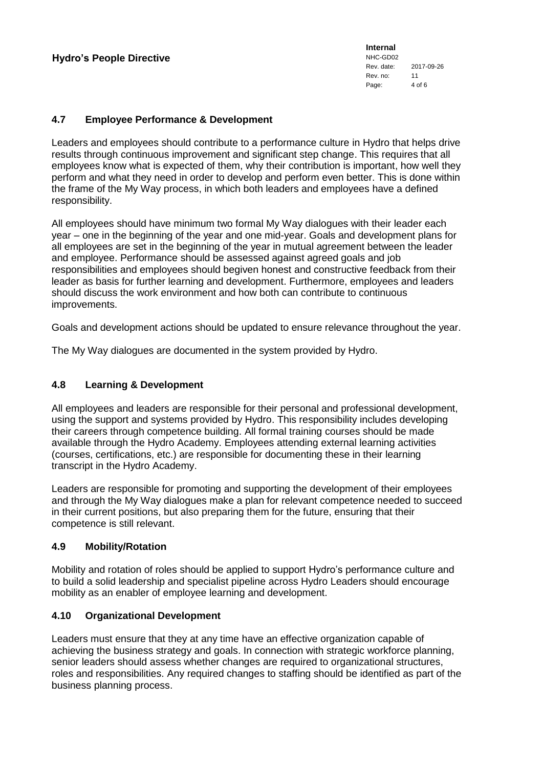#### **4.7 Employee Performance & Development**

Leaders and employees should contribute to a performance culture in Hydro that helps drive results through continuous improvement and significant step change. This requires that all employees know what is expected of them, why their contribution is important, how well they perform and what they need in order to develop and perform even better. This is done within the frame of the My Way process, in which both leaders and employees have a defined responsibility.

All employees should have minimum two formal My Way dialogues with their leader each year – one in the beginning of the year and one mid-year. Goals and development plans for all employees are set in the beginning of the year in mutual agreement between the leader and employee. Performance should be assessed against agreed goals and job responsibilities and employees should begiven honest and constructive feedback from their leader as basis for further learning and development. Furthermore, employees and leaders should discuss the work environment and how both can contribute to continuous improvements.

Goals and development actions should be updated to ensure relevance throughout the year.

The My Way dialogues are documented in the system provided by Hydro.

### **4.8 Learning & Development**

All employees and leaders are responsible for their personal and professional development, using the support and systems provided by Hydro. This responsibility includes developing their careers through competence building. All formal training courses should be made available through the Hydro Academy. Employees attending external learning activities (courses, certifications, etc.) are responsible for documenting these in their learning transcript in the Hydro Academy.

Leaders are responsible for promoting and supporting the development of their employees and through the My Way dialogues make a plan for relevant competence needed to succeed in their current positions, but also preparing them for the future, ensuring that their competence is still relevant.

#### **4.9 Mobility/Rotation**

Mobility and rotation of roles should be applied to support Hydro's performance culture and to build a solid leadership and specialist pipeline across Hydro Leaders should encourage mobility as an enabler of employee learning and development.

#### **4.10 Organizational Development**

Leaders must ensure that they at any time have an effective organization capable of achieving the business strategy and goals. In connection with strategic workforce planning, senior leaders should assess whether changes are required to organizational structures, roles and responsibilities. Any required changes to staffing should be identified as part of the business planning process.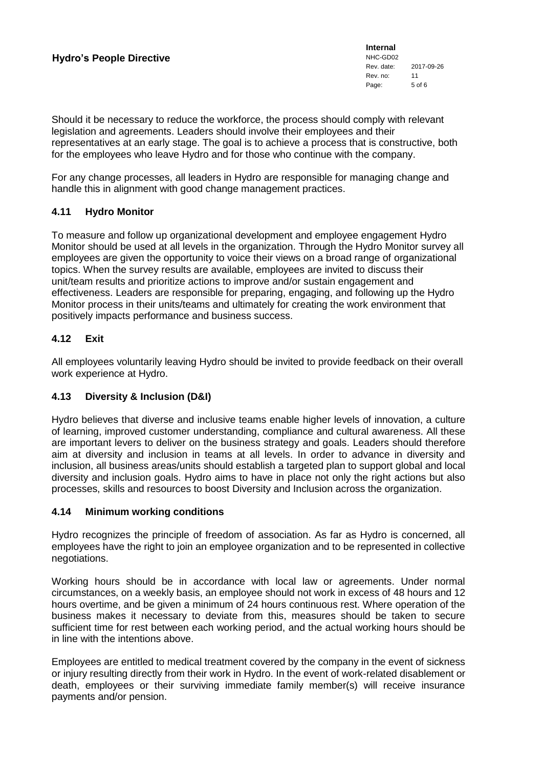**Internal** NHC-GD02 Rev. date: 2017-09-26 Rev. no: 11<br>Page: 5 of 6 Page:

Should it be necessary to reduce the workforce, the process should comply with relevant legislation and agreements. Leaders should involve their employees and their representatives at an early stage. The goal is to achieve a process that is constructive, both for the employees who leave Hydro and for those who continue with the company.

For any change processes, all leaders in Hydro are responsible for managing change and handle this in alignment with good change management practices.

#### **4.11 Hydro Monitor**

To measure and follow up organizational development and employee engagement Hydro Monitor should be used at all levels in the organization. Through the Hydro Monitor survey all employees are given the opportunity to voice their views on a broad range of organizational topics. When the survey results are available, employees are invited to discuss their unit/team results and prioritize actions to improve and/or sustain engagement and effectiveness. Leaders are responsible for preparing, engaging, and following up the Hydro Monitor process in their units/teams and ultimately for creating the work environment that positively impacts performance and business success.

### **4.12 Exit**

All employees voluntarily leaving Hydro should be invited to provide feedback on their overall work experience at Hydro.

#### **4.13 Diversity & Inclusion (D&I)**

Hydro believes that diverse and inclusive teams enable higher levels of innovation, a culture of learning, improved customer understanding, compliance and cultural awareness. All these are important levers to deliver on the business strategy and goals. Leaders should therefore aim at diversity and inclusion in teams at all levels. In order to advance in diversity and inclusion, all business areas/units should establish a targeted plan to support global and local diversity and inclusion goals. Hydro aims to have in place not only the right actions but also processes, skills and resources to boost Diversity and Inclusion across the organization.

#### **4.14 Minimum working conditions**

Hydro recognizes the principle of freedom of association. As far as Hydro is concerned, all employees have the right to join an employee organization and to be represented in collective negotiations.

Working hours should be in accordance with local law or agreements. Under normal circumstances, on a weekly basis, an employee should not work in excess of 48 hours and 12 hours overtime, and be given a minimum of 24 hours continuous rest. Where operation of the business makes it necessary to deviate from this, measures should be taken to secure sufficient time for rest between each working period, and the actual working hours should be in line with the intentions above.

Employees are entitled to medical treatment covered by the company in the event of sickness or injury resulting directly from their work in Hydro. In the event of work-related disablement or death, employees or their surviving immediate family member(s) will receive insurance payments and/or pension.